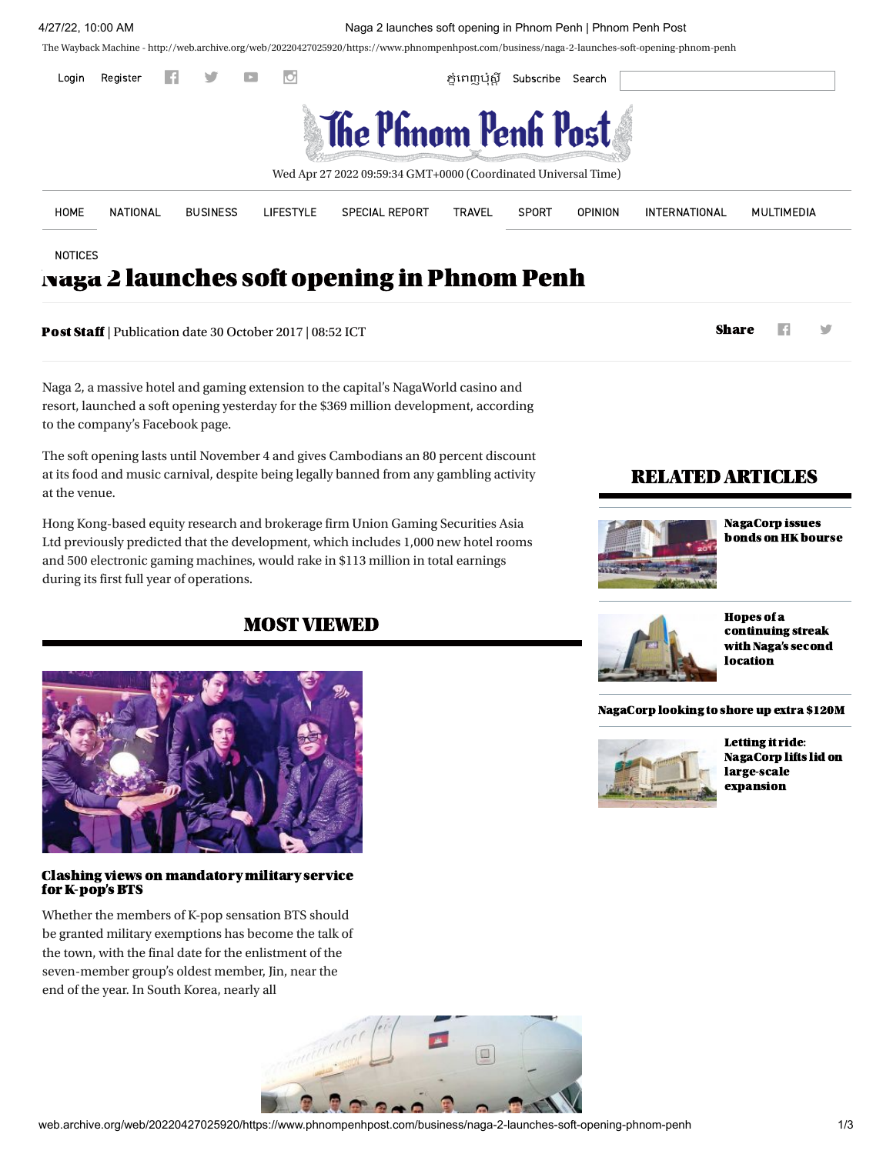4/27/22, 10:00 AM Naga 2 launches soft opening in Phnom Penh | Phnom Penh Post

The Wayback Machine - http://web.archive.org/web/20220427025920/ 20220427025920/https://www.phnompenhpost.com/business/naga-2-launches-soft-opening-phnom-penh



NOTICES

# [Naga](http://web.archive.org/web/20220427025920/https://www.phnompenhpost.com/notice) 2 launches soft opening in Phnom Penh

**Post [Staff](http://web.archive.org/web/20220427025920/https://www.phnompenhpost.com/author/post-staff/17718)** | Publication date 30 October 2017 | 08:52 ICT Share Share Share Share Share Share Share Share Share Share Share Share Share Share Share Share Share Share Share Share Share Share Share Share Share Share Share

Naga 2, a massive hotel and gaming extension to the capital's NagaWorld casino and resort, launched a soft opening yesterday for the \$369 million development, according to the company's Facebook page.

The soft opening lasts until November 4 and gives Cambodians an 80 percent discount at its food and music carnival, despite being legally banned from any gambling activity at the venue.

Hong Kong-based equity research and brokerage firm Union Gaming Securities Asia Ltd previously predicted that the development, which includes 1,000 new hotel rooms and 500 electronic gaming machines, would rake in \$113 million in total earnings during its first full year of operations.

# MOST VIEWED



## Clashing views on mandatory military service for K-pop's BTS

Whether the members of K-pop sensation BTS should be granted military exemptions has become the talk of the town, with the final date for the enlistment of the seven-member group's oldest member, Jin, near the end of the year. In South Korea, nearly all



# RELATED ARTICLES



NagaCorp issues bonds on [HKbourse](http://web.archive.org/web/20220427025920/https://www.phnompenhpost.com/business/nagacorp-issues-bonds-hk-bourse)



Hopes of a [continuing](http://web.archive.org/web/20220427025920/https://www.phnompenhpost.com/business/hopes-continuing-streak-nagas-second-location) streak with Naga's second location

#### [NagaCorp](http://web.archive.org/web/20220427025920/https://www.phnompenhpost.com/business/nagacorp-looking-shore-extra-120m) looking to shore up extra \$120M



Letting it ride: NagaCorp lifts lid on [large-scale](http://web.archive.org/web/20220427025920/https://www.phnompenhpost.com/real-estate/letting-it-ride-nagacorp-lifts-lid-large-scale-expansion) expansion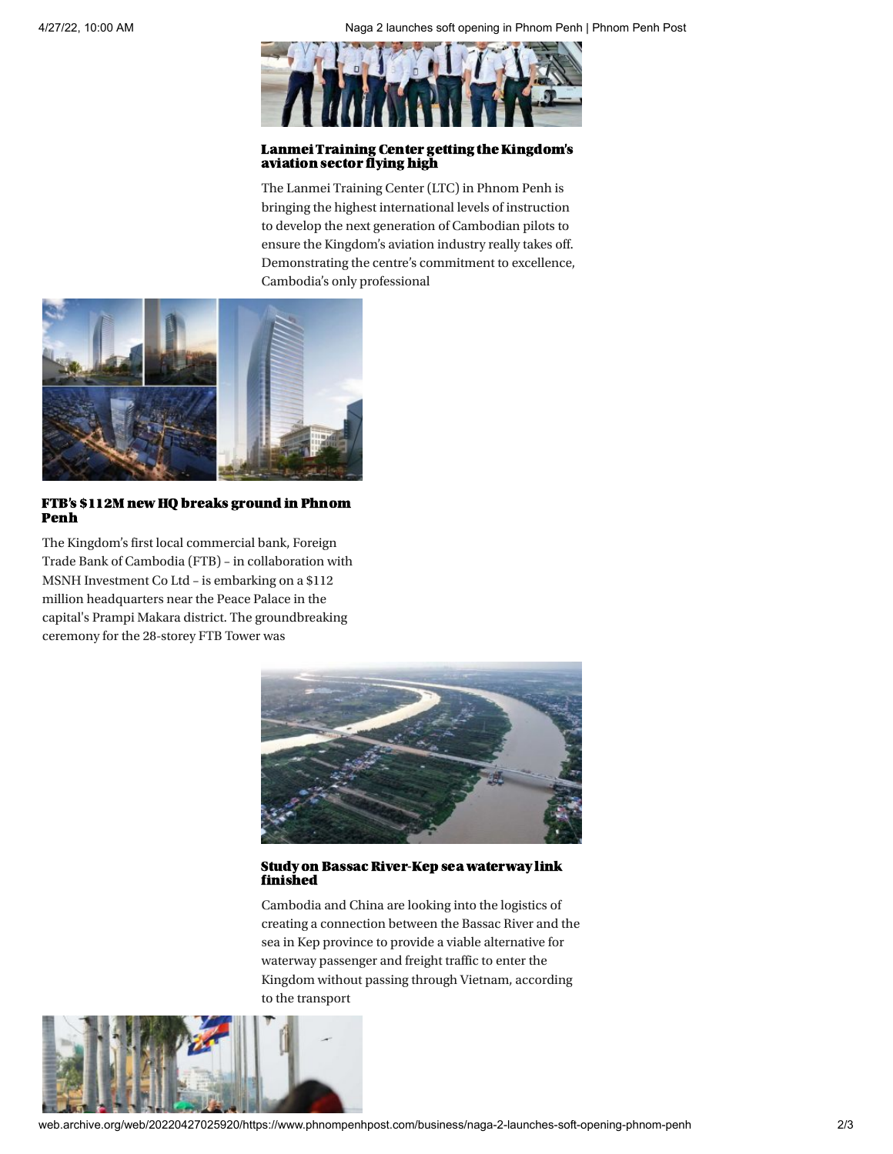

# Lanmei Training Center getting the Kingdom's aviation sector flying high

The Lanmei Training Center (LTC) in Phnom Penh is bringing the highest international levels of instruction to develop the next generation of Cambodian pilots to ensure the Kingdom's aviation industry really takes off. Demonstrating the centre's commitment to excellence, Cambodia's only professional



# FTB's \$112M new HQ breaks [ground](http://web.archive.org/web/20220427025920/https://www.phnompenhpost.com/business/ftbs-112m-new-hq-breaks-ground-phnom-penh) in Phnom Penh

The Kingdom's first local commercial bank, Foreign Trade Bank of Cambodia (FTB) – in collaboration with MSNH Investment Co Ltd – is embarking on a \$112 million headquarters near the Peace Palace in the capital's Prampi Makara district. The groundbreaking ceremony for the 28-storey FTB Tower was



## Study on Bassac River-Kep sea waterway link finished

Cambodia and China are looking into the logistics of creating a connection between the Bassac River and the sea in Kep province to provide a viable alternative for waterway passenger and freight traffic to enter the Kingdom without passing through Vietnam, according to the transport